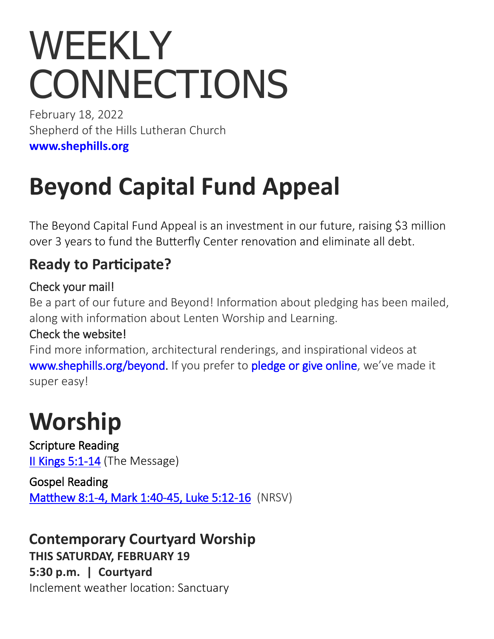# WEEKLY **CONNECTIONS**

February 18, 2022 Shepherd of the Hills Lutheran Church **[www.shephills.org](http://www.shephills.org)**

## **Beyond Capital Fund Appeal**

The Beyond Capital Fund Appeal is an investment in our future, raising \$3 million over 3 years to fund the Butterfly Center renovation and eliminate all debt.

#### **Ready to Participate?**

#### Check your mail!

Be a part of our future and Beyond! Information about pledging has been mailed, along with information about Lenten Worship and Learning.

#### Check the website!

Find more information, architectural renderings, and inspirational videos at [www.shephills.org/beyond.](The%20Beyond%20Capital%20Fund%20Appeal%20is%20an%20investment%20in%20our%20future,) If you prefer to [pledge or give online,](https://shephills.org/beyond-pledge/) we've made it super easy!

### **Worship**

Scripture Reading [II Kings 5:1](https://www.biblegateway.com/passage/?search=II+Kings+5%3A1-14+&version=MSG)-14 (The Message)

Gospel Reading [Matthew 8:1](https://www.biblegateway.com/passage/?search=Matthew+8%3A1-4%2C%C2%A0Mark+1%3A40-45%2C%C2%A0Luke+5%3A12-16++&version=NRSV)-4, Mark 1:40-45, Luke 5:12-16 (NRSV)

**Contemporary Courtyard Worship THIS SATURDAY, FEBRUARY 19 5:30 p.m. | Courtyard** Inclement weather location: Sanctuary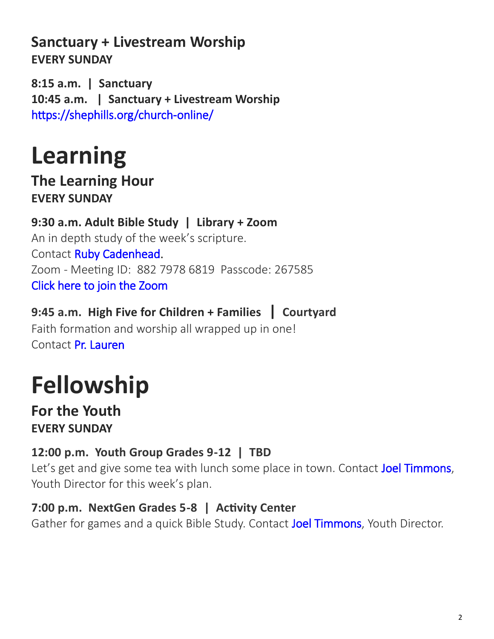#### **Sanctuary + Livestream Worship EVERY SUNDAY**

**8:15 a.m. | Sanctuary 10:45 a.m. | Sanctuary + Livestream Worship**  [https://shephills.org/church](https://shephills.org/church-online/)-online/

### **Learning**

**The Learning Hour EVERY SUNDAY**

**9:30 a.m. Adult Bible Study | Library + Zoom** An in depth study of the week's scripture. Contact [Ruby Cadenhead.](mailto:rubies61@gmail.com) Zoom - Meeting ID: 882 7978 6819 Passcode: 267585 [Click here to join the Zoom](https://us02web.zoom.us/j/88279786819?pwd=Uytzc1NsT0xCWlM5dnVCMlBFZ1djUT09) 

**9:45 a.m. High Five for Children + Families | Courtyard**  Faith formation and worship all wrapped up in one! Contact [Pr. Lauren](mailto:lauren@shephills.org)

# **Fellowship**

**For the Youth EVERY SUNDAY**

#### **12:00 p.m. Youth Group Grades 9-12 | TBD**

Let's get and give some tea with lunch some place in town. Contact [Joel Timmons,](mailto:joel@shephills.org) Youth Director for this week's plan.

#### **7:00 p.m. NextGen Grades 5-8 | Activity Center**

Gather for games and a quick Bible Study. Contact [Joel Timmons,](mailto:joel@shephills.org) Youth Director.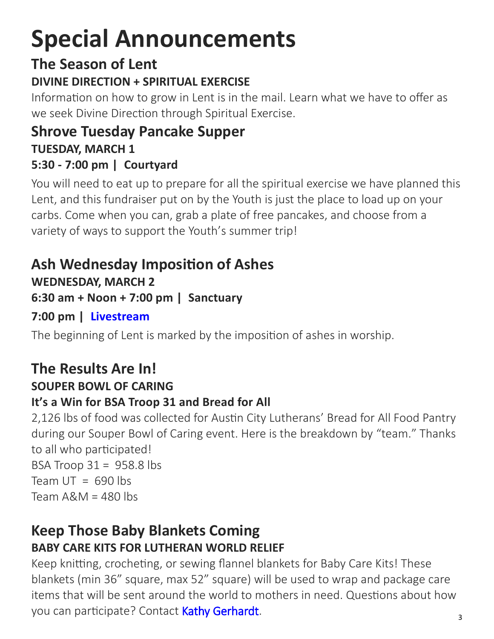# **Special Announcements**

### **The Season of Lent**

#### **DIVINE DIRECTION + SPIRITUAL EXERCISE**

Information on how to grow in Lent is in the mail. Learn what we have to offer as we seek Divine Direction through Spiritual Exercise.

#### **Shrove Tuesday Pancake Supper TUESDAY, MARCH 1 5:30 - 7:00 pm | Courtyard**

You will need to eat up to prepare for all the spiritual exercise we have planned this Lent, and this fundraiser put on by the Youth is just the place to load up on your carbs. Come when you can, grab a plate of free pancakes, and choose from a variety of ways to support the Youth's summer trip!

#### **Ash Wednesday Imposition of Ashes**

**WEDNESDAY, MARCH 2**

**6:30 am + Noon + 7:00 pm | Sanctuary**

**7:00 pm | [Livestream](http://www.shephills.org/watch)**

The beginning of Lent is marked by the imposition of ashes in worship.

#### **The Results Are In! SOUPER BOWL OF CARING**

### **It's a Win for BSA Troop 31 and Bread for All**

2,126 lbs of food was collected for Austin City Lutherans' Bread for All Food Pantry during our Souper Bowl of Caring event. Here is the breakdown by "team." Thanks to all who participated! BSA Troop  $31 = 958.8$  lbs Team  $UT = 690$  lbs Team A&M = 480 lbs

#### **Keep Those Baby Blankets Coming BABY CARE KITS FOR LUTHERAN WORLD RELIEF**

Keep knitting, crocheting, or sewing flannel blankets for Baby Care Kits! These blankets (min 36" square, max 52" square) will be used to wrap and package care items that will be sent around the world to mothers in need. Questions about how you can participate? Contact [Kathy Gerhardt.](mailto:kathnmark@gmail.com?subject=baby%20blankets)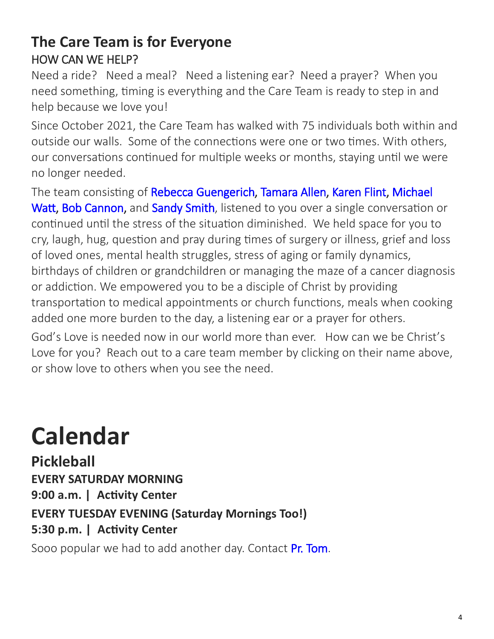#### **The Care Team is for Everyone** HOW CAN WE HELP?

Need a ride? Need a meal? Need a listening ear? Need a prayer? When you need something, timing is everything and the Care Team is ready to step in and help because we love you!

Since October 2021, the Care Team has walked with 75 individuals both within and outside our walls. Some of the connections were one or two times. With others, our conversations continued for multiple weeks or months, staying until we were no longer needed.

The team consisting of [Rebecca Guengerich,](mailto:rguengerich@gmail.com?subject=care%20team) [Tamara Allen,](mailto:tamara.allen@me.com?subject=care%20team) [Karen Flint,](mailto:karenflint@me.com?subject=care%20team) Michael [Watt,](mailto:michaelwatt04@gmail.com?subject=care%20team) [Bob Cannon,](mailto:bctrpt123@aol.com?subject=care%20team) and [Sandy Smith,](mailto:texas.sandysmith@gmail.com?subject=care%20team) listened to you over a single conversation or continued until the stress of the situation diminished. We held space for you to cry, laugh, hug, question and pray during times of surgery or illness, grief and loss of loved ones, mental health struggles, stress of aging or family dynamics, birthdays of children or grandchildren or managing the maze of a cancer diagnosis or addiction. We empowered you to be a disciple of Christ by providing transportation to medical appointments or church functions, meals when cooking added one more burden to the day, a listening ear or a prayer for others.

God's Love is needed now in our world more than ever. How can we be Christ's Love for you? Reach out to a care team member by clicking on their name above, or show love to others when you see the need.

# **Calendar**

**Pickleball EVERY SATURDAY MORNING 9:00 a.m. | Activity Center EVERY TUESDAY EVENING (Saturday Mornings Too!) 5:30 p.m. | Activity Center**

Sooo popular we had to add another day. Contact [Pr. Tom.](mailto:tom@shephills.org)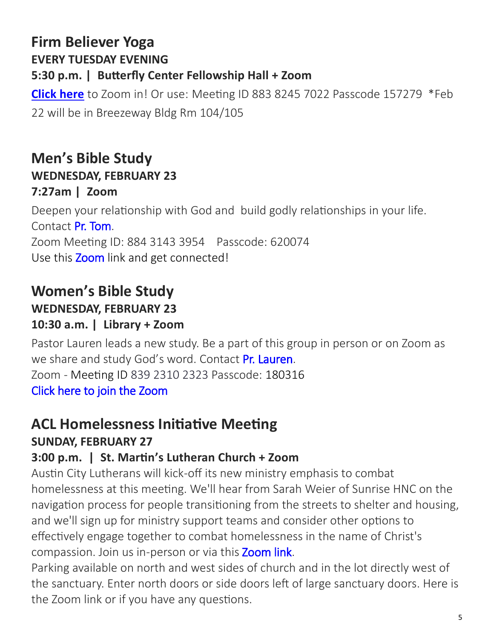#### **Firm Believer Yoga EVERY TUESDAY EVENING 5:30 p.m. | Butterfly Center Fellowship Hall + Zoom**

**[Click here](https://us02web.zoom.us/j/88382457022?pwd=NEtNVjlCcWkxQVV3OUR4eVlsNzkxdz09)** to Zoom in! Or use: Meeting ID 883 8245 7022 Passcode 157279 \*Feb 22 will be in Breezeway Bldg Rm 104/105

#### **Men's Bible Study WEDNESDAY, FEBRUARY 23 7:27am | Zoom**

Deepen your relationship with God and build godly relationships in your life. Contact Pr. Tom. Zoom Meeting ID: 884 3143 3954 Passcode: 620074 Use this **[Zoom](https://us02web.zoom.us/j/88431433954?pwd=T2g1RG1JRk5xNUpEZ2VHd0FNUHFadz09)** link and get connected!

#### **Women's Bible Study**

#### **WEDNESDAY, FEBRUARY 23**

#### **10:30 a.m. | Library + Zoom**

Pastor Lauren leads a new study. Be a part of this group in person or on Zoom as we share and study God's word. Contact Pr. Lauren. Zoom - Meeting ID 839 2310 2323 Passcode: 180316 [Click here to join the Zoom](https://us02web.zoom.us/j/83923102323?pwd=YTk4UFBjWWNjU1YzenJqeTNMaE0yQT09) 

### **ACL Homelessness Initiative Meeting**

#### **SUNDAY, FEBRUARY 27**

#### **3:00 p.m. | St. Martin's Lutheran Church + Zoom**

Austin City Lutherans will kick-off its new ministry emphasis to combat homelessness at this meeting. We'll hear from Sarah Weier of Sunrise HNC on the navigation process for people transitioning from the streets to shelter and housing, and we'll sign up for ministry support teams and consider other options to effectively engage together to combat homelessness in the name of Christ's compassion. Join us in-person or via this Zoom link.

Parking available on north and west sides of church and in the lot directly west of the sanctuary. Enter north doors or side doors left of large sanctuary doors. Here is the Zoom link or if you have any questions.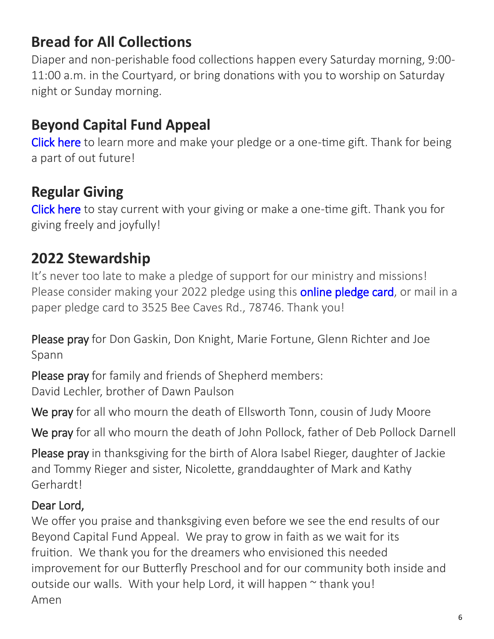#### **Bread for All Collections**

Diaper and non-perishable food collections happen every Saturday morning, 9:00- 11:00 a.m. in the Courtyard, or bring donations with you to worship on Saturday night or Sunday morning.

#### **Beyond Capital Fund Appeal**

[Click here](https://shephills.org/beyond/) to learn more and make your pledge or a one-time gift. Thank for being a part of out future!

#### **Regular Giving**

[Click here](https://shephills.org/give/) to stay current with your giving or make a one-time gift. Thank you for giving freely and joyfully!

#### **2022 Stewardship**

It's never too late to make a pledge of support for our ministry and missions! Please consider making your 2022 pledge using this **online pledge card**, or mail in a paper pledge card to 3525 Bee Caves Rd., 78746. Thank you!

Please pray for Don Gaskin, Don Knight, Marie Fortune, Glenn Richter and Joe Spann

Please pray for family and friends of Shepherd members: David Lechler, brother of Dawn Paulson

We pray for all who mourn the death of Ellsworth Tonn, cousin of Judy Moore

We pray for all who mourn the death of John Pollock, father of Deb Pollock Darnell

Please pray in thanksgiving for the birth of Alora Isabel Rieger, daughter of Jackie and Tommy Rieger and sister, Nicolette, granddaughter of Mark and Kathy Gerhardt!

#### Dear Lord,

We offer you praise and thanksgiving even before we see the end results of our Beyond Capital Fund Appeal. We pray to grow in faith as we wait for its fruition. We thank you for the dreamers who envisioned this needed improvement for our Butterfly Preschool and for our community both inside and outside our walls. With your help Lord, it will happen  $\sim$  thank you! Amen